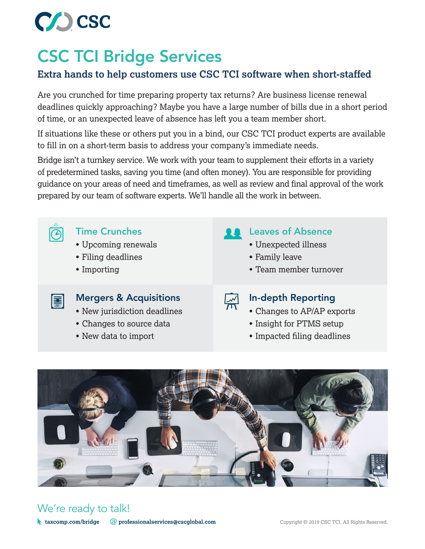

# CSC TCI Bridge Services

### **Extra hands to help customers use CSC TCI software when short-staffed**

Are you crunched for time preparing property tax returns? Are business license renewal deadlines quickly approaching? Maybe you have a large number of bills due in a short period of time, or an unexpected leave of absence has left you a team member short.

If situations like these or others put you in a bind, our CSC TCI product experts are available to fill in on a short-term basis to address your company's immediate needs.

Bridge isn't a turnkey service. We work with your team to supplement their efforts in a variety of predetermined tasks, saving you time (and often money). You are responsible for providing guidance on your areas of need and timeframes, as well as review and final approval of the work prepared by our team of software experts. We'll handle all the work in between.



- Upcoming renewals
- Filing deadlines
- Importing

### Time Crunches **Leaves of Absence**

- Unexpected illness
- Family leave
- Team member turnover



### Mergers & Acquisitions In-depth Reporting

- New jurisdiction deadlines
- Changes to source data
- New data to import

- Changes to AP/AP exports
- Insight for PTMS setup
- Impacted filing deadlines



## We're ready to talk!

**taxcomp.com/bridge @professionalservices@cscglobal.com** Copyright © 2019 CSC TCI. All Rights Reserved.